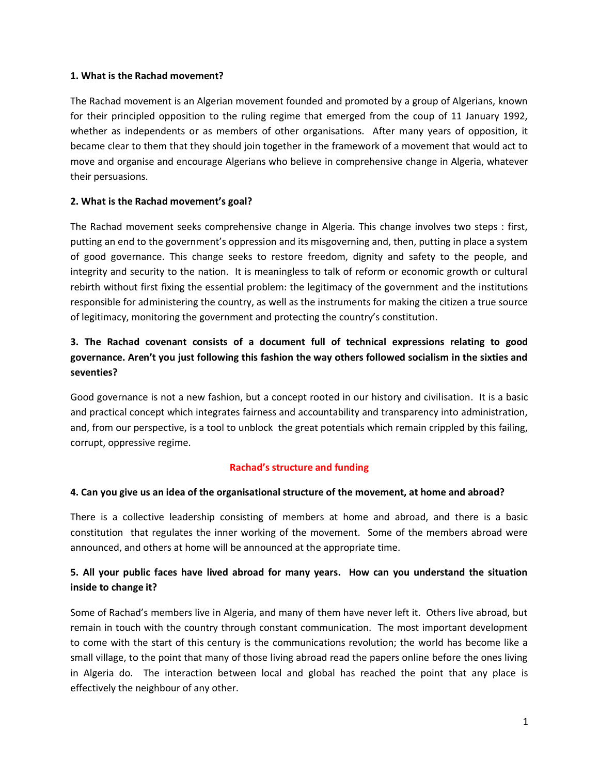### **1. What is the Rachad movement?**

The Rachad movement is an Algerian movement founded and promoted by a group of Algerians, known for their principled opposition to the ruling regime that emerged from the coup of 11 January 1992, whether as independents or as members of other organisations. After many years of opposition, it became clear to them that they should join together in the framework of a movement that would act to move and organise and encourage Algerians who believe in comprehensive change in Algeria, whatever their persuasions.

### **2. What is the Rachad movement's goal?**

The Rachad movement seeks comprehensive change in Algeria. This change involves two steps : first, putting an end to the government's oppression and its misgoverning and, then, putting in place a system of good governance. This change seeks to restore freedom, dignity and safety to the people, and integrity and security to the nation. It is meaningless to talk of reform or economic growth or cultural rebirth without first fixing the essential problem: the legitimacy of the government and the institutions responsible for administering the country, as well as the instruments for making the citizen a true source of legitimacy, monitoring the government and protecting the country's constitution.

# **3. The Rachad covenant consists of a document full of technical expressions relating to good governance. Aren't you just following this fashion the way others followed socialism in the sixties and seventies?**

Good governance is not a new fashion, but a concept rooted in our history and civilisation. It is a basic and practical concept which integrates fairness and accountability and transparency into administration, and, from our perspective, is a tool to unblock the great potentials which remain crippled by this failing, corrupt, oppressive regime.

### **Rachad's structure and funding**

### **4. Can you give us an idea of the organisational structure of the movement, at home and abroad?**

There is a collective leadership consisting of members at home and abroad, and there is a basic constitution that regulates the inner working of the movement. Some of the members abroad were announced, and others at home will be announced at the appropriate time.

### **5. All your public faces have lived abroad for many years. How can you understand the situation inside to change it?**

Some of Rachad's members live in Algeria, and many of them have never left it. Others live abroad, but remain in touch with the country through constant communication. The most important development to come with the start of this century is the communications revolution; the world has become like a small village, to the point that many of those living abroad read the papers online before the ones living in Algeria do. The interaction between local and global has reached the point that any place is effectively the neighbour of any other.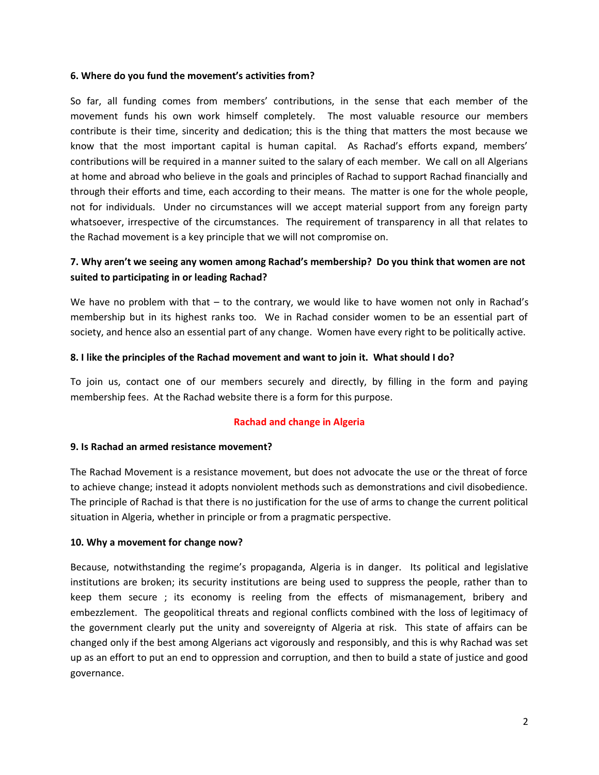### **6. Where do you fund the movement's activities from?**

So far, all funding comes from members' contributions, in the sense that each member of the movement funds his own work himself completely. The most valuable resource our members contribute is their time, sincerity and dedication; this is the thing that matters the most because we know that the most important capital is human capital. As Rachad's efforts expand, members' contributions will be required in a manner suited to the salary of each member. We call on all Algerians at home and abroad who believe in the goals and principles of Rachad to support Rachad financially and through their efforts and time, each according to their means. The matter is one for the whole people, not for individuals. Under no circumstances will we accept material support from any foreign party whatsoever, irrespective of the circumstances. The requirement of transparency in all that relates to the Rachad movement is a key principle that we will not compromise on.

### **7. Why aren't we seeing any women among Rachad's membership? Do you think that women are not suited to participating in or leading Rachad?**

We have no problem with that – to the contrary, we would like to have women not only in Rachad's membership but in its highest ranks too. We in Rachad consider women to be an essential part of society, and hence also an essential part of any change. Women have every right to be politically active.

#### **8. I like the principles of the Rachad movement and want to join it. What should I do?**

To join us, contact one of our members securely and directly, by filling in the form and paying membership fees. At the Rachad website there is a form for this purpose.

### **Rachad and change in Algeria**

### **9. Is Rachad an armed resistance movement?**

The Rachad Movement is a resistance movement, but does not advocate the use or the threat of force to achieve change; instead it adopts nonviolent methods such as demonstrations and civil disobedience. The principle of Rachad is that there is no justification for the use of arms to change the current political situation in Algeria, whether in principle or from a pragmatic perspective.

#### **10. Why a movement for change now?**

Because, notwithstanding the regime's propaganda, Algeria is in danger. Its political and legislative institutions are broken; its security institutions are being used to suppress the people, rather than to keep them secure ; its economy is reeling from the effects of mismanagement, bribery and embezzlement. The geopolitical threats and regional conflicts combined with the loss of legitimacy of the government clearly put the unity and sovereignty of Algeria at risk. This state of affairs can be changed only if the best among Algerians act vigorously and responsibly, and this is why Rachad was set up as an effort to put an end to oppression and corruption, and then to build a state of justice and good governance.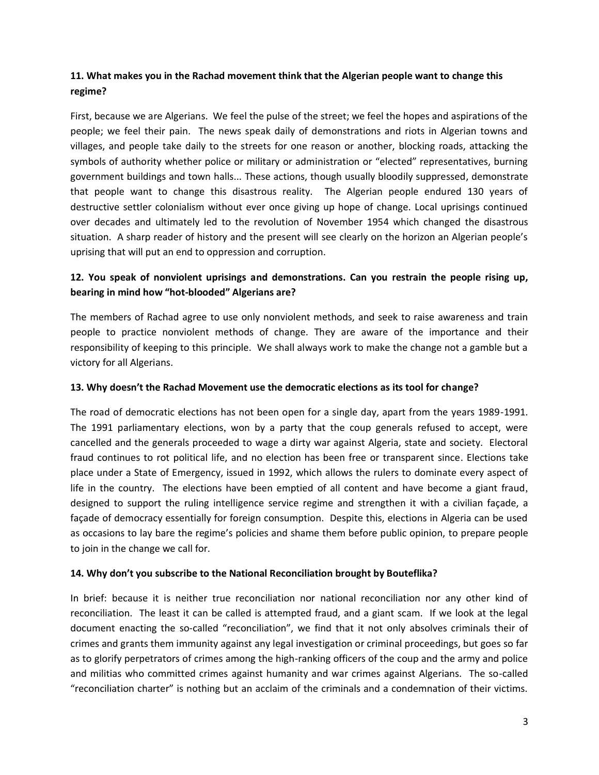# **11. What makes you in the Rachad movement think that the Algerian people want to change this regime?**

First, because we are Algerians. We feel the pulse of the street; we feel the hopes and aspirations of the people; we feel their pain. The news speak daily of demonstrations and riots in Algerian towns and villages, and people take daily to the streets for one reason or another, blocking roads, attacking the symbols of authority whether police or military or administration or "elected" representatives, burning government buildings and town halls... These actions, though usually bloodily suppressed, demonstrate that people want to change this disastrous reality. The Algerian people endured 130 years of destructive settler colonialism without ever once giving up hope of change. Local uprisings continued over decades and ultimately led to the revolution of November 1954 which changed the disastrous situation. A sharp reader of history and the present will see clearly on the horizon an Algerian people's uprising that will put an end to oppression and corruption.

# **12. You speak of nonviolent uprisings and demonstrations. Can you restrain the people rising up, bearing in mind how "hot-blooded" Algerians are?**

The members of Rachad agree to use only nonviolent methods, and seek to raise awareness and train people to practice nonviolent methods of change. They are aware of the importance and their responsibility of keeping to this principle. We shall always work to make the change not a gamble but a victory for all Algerians.

### **13. Why doesn't the Rachad Movement use the democratic elections as its tool for change?**

The road of democratic elections has not been open for a single day, apart from the years 1989-1991. The 1991 parliamentary elections, won by a party that the coup generals refused to accept, were cancelled and the generals proceeded to wage a dirty war against Algeria, state and society. Electoral fraud continues to rot political life, and no election has been free or transparent since. Elections take place under a State of Emergency, issued in 1992, which allows the rulers to dominate every aspect of life in the country. The elections have been emptied of all content and have become a giant fraud, designed to support the ruling intelligence service regime and strengthen it with a civilian façade, a façade of democracy essentially for foreign consumption. Despite this, elections in Algeria can be used as occasions to lay bare the regime's policies and shame them before public opinion, to prepare people to join in the change we call for.

### **14. Why don't you subscribe to the National Reconciliation brought by Bouteflika?**

In brief: because it is neither true reconciliation nor national reconciliation nor any other kind of reconciliation. The least it can be called is attempted fraud, and a giant scam. If we look at the legal document enacting the so-called "reconciliation", we find that it not only absolves criminals their of crimes and grants them immunity against any legal investigation or criminal proceedings, but goes so far as to glorify perpetrators of crimes among the high-ranking officers of the coup and the army and police and militias who committed crimes against humanity and war crimes against Algerians. The so-called "reconciliation charter" is nothing but an acclaim of the criminals and a condemnation of their victims.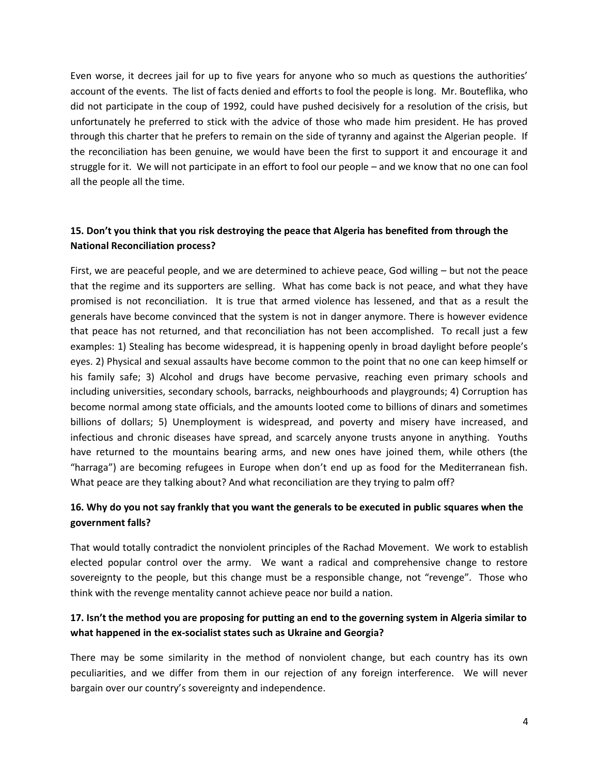Even worse, it decrees jail for up to five years for anyone who so much as questions the authorities' account of the events. The list of facts denied and efforts to fool the people is long. Mr. Bouteflika, who did not participate in the coup of 1992, could have pushed decisively for a resolution of the crisis, but unfortunately he preferred to stick with the advice of those who made him president. He has proved through this charter that he prefers to remain on the side of tyranny and against the Algerian people. If the reconciliation has been genuine, we would have been the first to support it and encourage it and struggle for it. We will not participate in an effort to fool our people – and we know that no one can fool all the people all the time.

## **15. Don't you think that you risk destroying the peace that Algeria has benefited from through the National Reconciliation process?**

First, we are peaceful people, and we are determined to achieve peace, God willing – but not the peace that the regime and its supporters are selling. What has come back is not peace, and what they have promised is not reconciliation. It is true that armed violence has lessened, and that as a result the generals have become convinced that the system is not in danger anymore. There is however evidence that peace has not returned, and that reconciliation has not been accomplished. To recall just a few examples: 1) Stealing has become widespread, it is happening openly in broad daylight before people's eyes. 2) Physical and sexual assaults have become common to the point that no one can keep himself or his family safe; 3) Alcohol and drugs have become pervasive, reaching even primary schools and including universities, secondary schools, barracks, neighbourhoods and playgrounds; 4) Corruption has become normal among state officials, and the amounts looted come to billions of dinars and sometimes billions of dollars; 5) Unemployment is widespread, and poverty and misery have increased, and infectious and chronic diseases have spread, and scarcely anyone trusts anyone in anything. Youths have returned to the mountains bearing arms, and new ones have joined them, while others (the "harraga") are becoming refugees in Europe when don't end up as food for the Mediterranean fish. What peace are they talking about? And what reconciliation are they trying to palm off?

# **16. Why do you not say frankly that you want the generals to be executed in public squares when the government falls?**

That would totally contradict the nonviolent principles of the Rachad Movement. We work to establish elected popular control over the army. We want a radical and comprehensive change to restore sovereignty to the people, but this change must be a responsible change, not "revenge". Those who think with the revenge mentality cannot achieve peace nor build a nation.

# **17. Isn't the method you are proposing for putting an end to the governing system in Algeria similar to what happened in the ex-socialist states such as Ukraine and Georgia?**

There may be some similarity in the method of nonviolent change, but each country has its own peculiarities, and we differ from them in our rejection of any foreign interference. We will never bargain over our country's sovereignty and independence.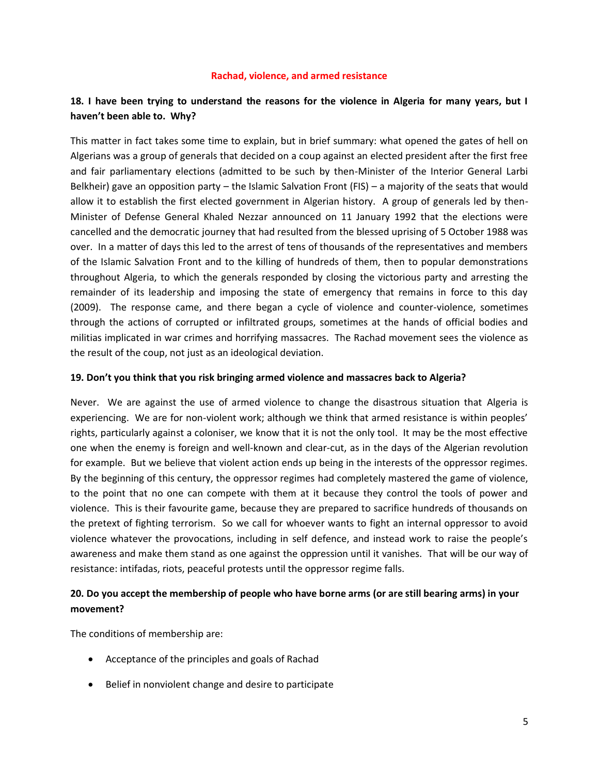#### **Rachad, violence, and armed resistance**

# **18. I have been trying to understand the reasons for the violence in Algeria for many years, but I haven't been able to. Why?**

This matter in fact takes some time to explain, but in brief summary: what opened the gates of hell on Algerians was a group of generals that decided on a coup against an elected president after the first free and fair parliamentary elections (admitted to be such by then-Minister of the Interior General Larbi Belkheir) gave an opposition party – the Islamic Salvation Front (FIS) – a majority of the seats that would allow it to establish the first elected government in Algerian history. A group of generals led by then-Minister of Defense General Khaled Nezzar announced on 11 January 1992 that the elections were cancelled and the democratic journey that had resulted from the blessed uprising of 5 October 1988 was over. In a matter of days this led to the arrest of tens of thousands of the representatives and members of the Islamic Salvation Front and to the killing of hundreds of them, then to popular demonstrations throughout Algeria, to which the generals responded by closing the victorious party and arresting the remainder of its leadership and imposing the state of emergency that remains in force to this day (2009). The response came, and there began a cycle of violence and counter-violence, sometimes through the actions of corrupted or infiltrated groups, sometimes at the hands of official bodies and militias implicated in war crimes and horrifying massacres. The Rachad movement sees the violence as the result of the coup, not just as an ideological deviation.

#### **19. Don't you think that you risk bringing armed violence and massacres back to Algeria?**

Never. We are against the use of armed violence to change the disastrous situation that Algeria is experiencing. We are for non-violent work; although we think that armed resistance is within peoples' rights, particularly against a coloniser, we know that it is not the only tool. It may be the most effective one when the enemy is foreign and well-known and clear-cut, as in the days of the Algerian revolution for example. But we believe that violent action ends up being in the interests of the oppressor regimes. By the beginning of this century, the oppressor regimes had completely mastered the game of violence, to the point that no one can compete with them at it because they control the tools of power and violence. This is their favourite game, because they are prepared to sacrifice hundreds of thousands on the pretext of fighting terrorism. So we call for whoever wants to fight an internal oppressor to avoid violence whatever the provocations, including in self defence, and instead work to raise the people's awareness and make them stand as one against the oppression until it vanishes. That will be our way of resistance: intifadas, riots, peaceful protests until the oppressor regime falls.

### **20. Do you accept the membership of people who have borne arms (or are still bearing arms) in your movement?**

The conditions of membership are:

- Acceptance of the principles and goals of Rachad
- Belief in nonviolent change and desire to participate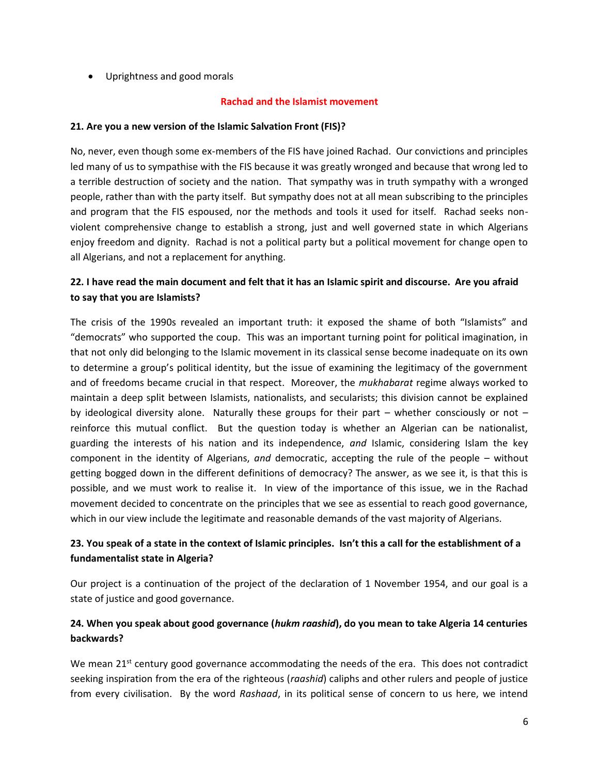• Uprightness and good morals

### **Rachad and the Islamist movement**

### **21. Are you a new version of the Islamic Salvation Front (FIS)?**

No, never, even though some ex-members of the FIS have joined Rachad. Our convictions and principles led many of us to sympathise with the FIS because it was greatly wronged and because that wrong led to a terrible destruction of society and the nation. That sympathy was in truth sympathy with a wronged people, rather than with the party itself. But sympathy does not at all mean subscribing to the principles and program that the FIS espoused, nor the methods and tools it used for itself. Rachad seeks nonviolent comprehensive change to establish a strong, just and well governed state in which Algerians enjoy freedom and dignity. Rachad is not a political party but a political movement for change open to all Algerians, and not a replacement for anything.

## **22. I have read the main document and felt that it has an Islamic spirit and discourse. Are you afraid to say that you are Islamists?**

The crisis of the 1990s revealed an important truth: it exposed the shame of both "Islamists" and "democrats" who supported the coup. This was an important turning point for political imagination, in that not only did belonging to the Islamic movement in its classical sense become inadequate on its own to determine a group's political identity, but the issue of examining the legitimacy of the government and of freedoms became crucial in that respect. Moreover, the *mukhabarat* regime always worked to maintain a deep split between Islamists, nationalists, and secularists; this division cannot be explained by ideological diversity alone. Naturally these groups for their part – whether consciously or not – reinforce this mutual conflict. But the question today is whether an Algerian can be nationalist, guarding the interests of his nation and its independence, *and* Islamic, considering Islam the key component in the identity of Algerians, *and* democratic, accepting the rule of the people – without getting bogged down in the different definitions of democracy? The answer, as we see it, is that this is possible, and we must work to realise it. In view of the importance of this issue, we in the Rachad movement decided to concentrate on the principles that we see as essential to reach good governance, which in our view include the legitimate and reasonable demands of the vast majority of Algerians.

# **23. You speak of a state in the context of Islamic principles. Isn't this a call for the establishment of a fundamentalist state in Algeria?**

Our project is a continuation of the project of the declaration of 1 November 1954, and our goal is a state of justice and good governance.

### **24. When you speak about good governance (***hukm raashid***), do you mean to take Algeria 14 centuries backwards?**

We mean  $21^{st}$  century good governance accommodating the needs of the era. This does not contradict seeking inspiration from the era of the righteous (*raashid*) caliphs and other rulers and people of justice from every civilisation. By the word *Rashaad*, in its political sense of concern to us here, we intend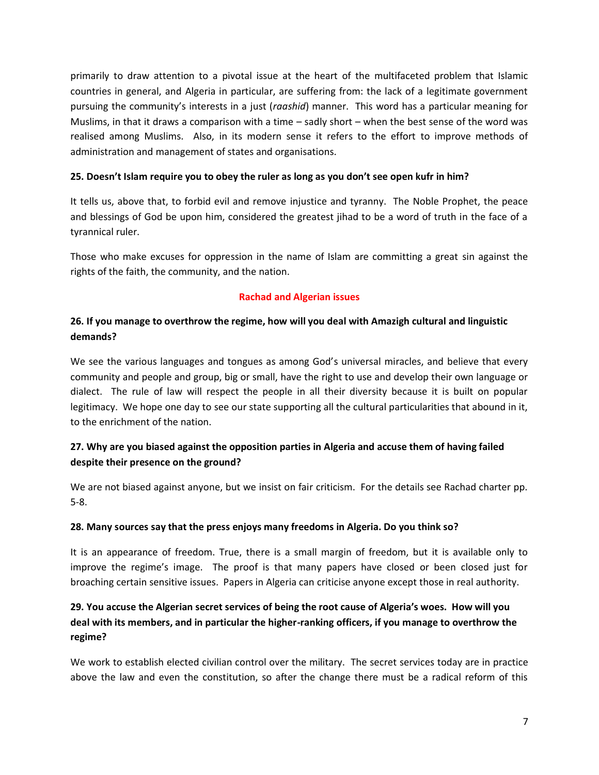primarily to draw attention to a pivotal issue at the heart of the multifaceted problem that Islamic countries in general, and Algeria in particular, are suffering from: the lack of a legitimate government pursuing the community's interests in a just (*raashid*) manner. This word has a particular meaning for Muslims, in that it draws a comparison with a time – sadly short – when the best sense of the word was realised among Muslims. Also, in its modern sense it refers to the effort to improve methods of administration and management of states and organisations.

### **25. Doesn't Islam require you to obey the ruler as long as you don't see open kufr in him?**

It tells us, above that, to forbid evil and remove injustice and tyranny. The Noble Prophet, the peace and blessings of God be upon him, considered the greatest jihad to be a word of truth in the face of a tyrannical ruler.

Those who make excuses for oppression in the name of Islam are committing a great sin against the rights of the faith, the community, and the nation.

### **Rachad and Algerian issues**

## **26. If you manage to overthrow the regime, how will you deal with Amazigh cultural and linguistic demands?**

We see the various languages and tongues as among God's universal miracles, and believe that every community and people and group, big or small, have the right to use and develop their own language or dialect. The rule of law will respect the people in all their diversity because it is built on popular legitimacy. We hope one day to see our state supporting all the cultural particularities that abound in it, to the enrichment of the nation.

# **27. Why are you biased against the opposition parties in Algeria and accuse them of having failed despite their presence on the ground?**

We are not biased against anyone, but we insist on fair criticism. For the details see Rachad charter pp. 5-8.

### **28. Many sources say that the press enjoys many freedoms in Algeria. Do you think so?**

It is an appearance of freedom. True, there is a small margin of freedom, but it is available only to improve the regime's image. The proof is that many papers have closed or been closed just for broaching certain sensitive issues. Papers in Algeria can criticise anyone except those in real authority.

# **29. You accuse the Algerian secret services of being the root cause of Algeria's woes. How will you deal with its members, and in particular the higher-ranking officers, if you manage to overthrow the regime?**

We work to establish elected civilian control over the military. The secret services today are in practice above the law and even the constitution, so after the change there must be a radical reform of this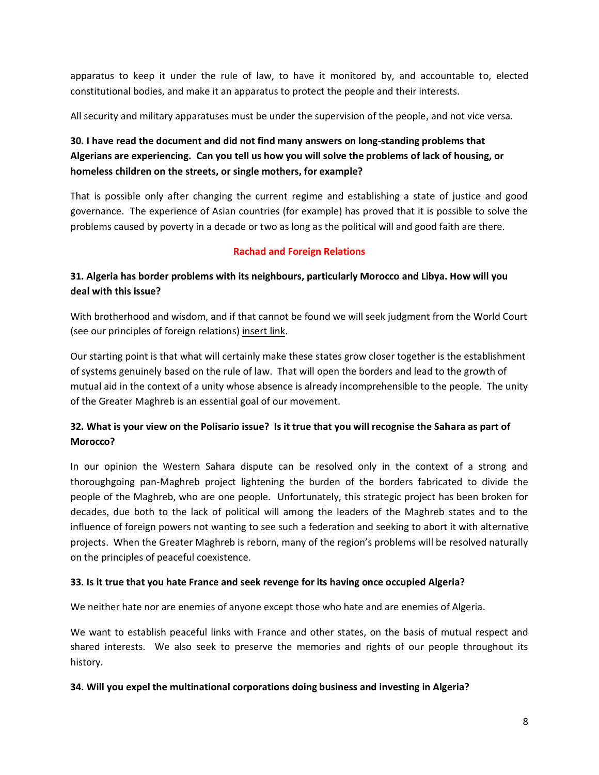apparatus to keep it under the rule of law, to have it monitored by, and accountable to, elected constitutional bodies, and make it an apparatus to protect the people and their interests.

All security and military apparatuses must be under the supervision of the people, and not vice versa.

# **30. I have read the document and did not find many answers on long-standing problems that Algerians are experiencing. Can you tell us how you will solve the problems of lack of housing, or homeless children on the streets, or single mothers, for example?**

That is possible only after changing the current regime and establishing a state of justice and good governance. The experience of Asian countries (for example) has proved that it is possible to solve the problems caused by poverty in a decade or two as long as the political will and good faith are there.

# **Rachad and Foreign Relations**

# **31. Algeria has border problems with its neighbours, particularly Morocco and Libya. How will you deal with this issue?**

With brotherhood and wisdom, and if that cannot be found we will seek judgment from the World Court (see our principles of foreign relations) insert link.

Our starting point is that what will certainly make these states grow closer together is the establishment of systems genuinely based on the rule of law. That will open the borders and lead to the growth of mutual aid in the context of a unity whose absence is already incomprehensible to the people. The unity of the Greater Maghreb is an essential goal of our movement.

# **32. What is your view on the Polisario issue? Is it true that you will recognise the Sahara as part of Morocco?**

In our opinion the Western Sahara dispute can be resolved only in the context of a strong and thoroughgoing pan-Maghreb project lightening the burden of the borders fabricated to divide the people of the Maghreb, who are one people. Unfortunately, this strategic project has been broken for decades, due both to the lack of political will among the leaders of the Maghreb states and to the influence of foreign powers not wanting to see such a federation and seeking to abort it with alternative projects. When the Greater Maghreb is reborn, many of the region's problems will be resolved naturally on the principles of peaceful coexistence.

### **33. Is it true that you hate France and seek revenge for its having once occupied Algeria?**

We neither hate nor are enemies of anyone except those who hate and are enemies of Algeria.

We want to establish peaceful links with France and other states, on the basis of mutual respect and shared interests. We also seek to preserve the memories and rights of our people throughout its history.

### **34. Will you expel the multinational corporations doing business and investing in Algeria?**